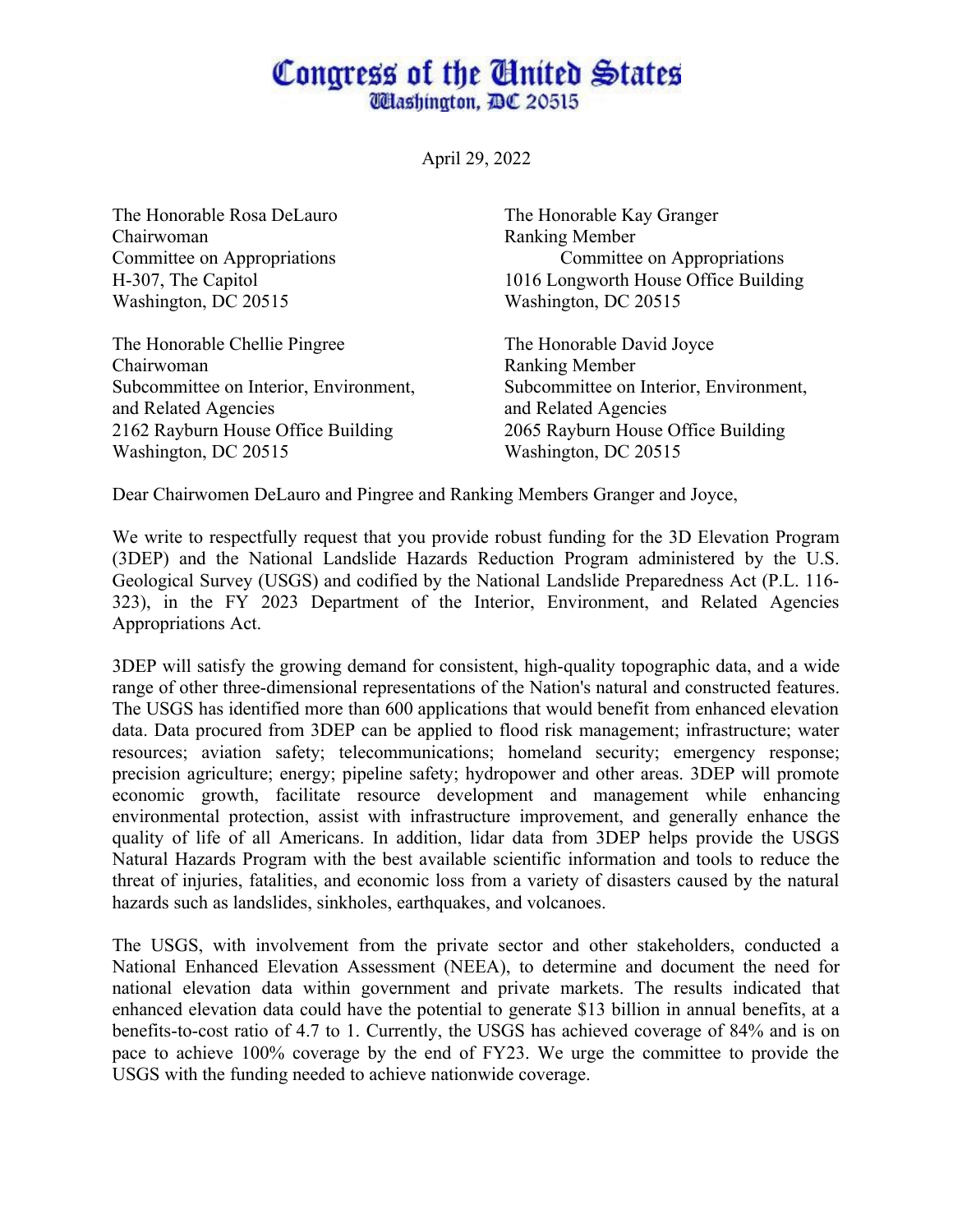## Congress of the Ginited States **Wlashington, DC 20515**

April 29, 2022

The Honorable Rosa DeLauro The Honorable Kay Granger Chairwoman Ranking Member Washington, DC 20515 Washington, DC 20515

The Honorable Chellie Pingree The Honorable David Joyce Chairwoman Ranking Member and Related Agencies and Related Agencies 2162 Rayburn House Office Building 2065 Rayburn House Office Building Washington, DC 20515 Washington, DC 20515

Committee on Appropriations Committee on Appropriations H-307, The Capitol 1016 Longworth House Office Building

Subcommittee on Interior, Environment, Subcommittee on Interior, Environment,

Dear Chairwomen DeLauro and Pingree and Ranking Members Granger and Joyce,

We write to respectfully request that you provide robust funding for the 3D Elevation Program (3DEP) and the National Landslide Hazards Reduction Program administered by the U.S. Geological Survey (USGS) and codified by the National Landslide Preparedness Act (P.L. 116- 323), in the FY 2023 Department of the Interior, Environment, and Related Agencies Appropriations Act.

3DEP will satisfy the growing demand for consistent, high-quality topographic data, and a wide range of other three-dimensional representations of the Nation's natural and constructed features. The USGS has identified more than 600 applications that would benefit from enhanced elevation data. Data procured from 3DEP can be applied to flood risk management; infrastructure; water resources; aviation safety; telecommunications; homeland security; emergency response; precision agriculture; energy; pipeline safety; hydropower and other areas. 3DEP will promote economic growth, facilitate resource development and management while enhancing environmental protection, assist with infrastructure improvement, and generally enhance the quality of life of all Americans. In addition, lidar data from 3DEP helps provide the USGS Natural Hazards Program with the best available scientific information and tools to reduce the threat of injuries, fatalities, and economic loss from a variety of disasters caused by the natural hazards such as landslides, sinkholes, earthquakes, and volcanoes.

The USGS, with involvement from the private sector and other stakeholders, conducted a National Enhanced Elevation Assessment (NEEA), to determine and document the need for national elevation data within government and private markets. The results indicated that enhanced elevation data could have the potential to generate \$13 billion in annual benefits, at a benefits-to-cost ratio of 4.7 to 1. Currently, the USGS has achieved coverage of 84% and is on pace to achieve 100% coverage by the end of FY23. We urge the committee to provide the USGS with the funding needed to achieve nationwide coverage.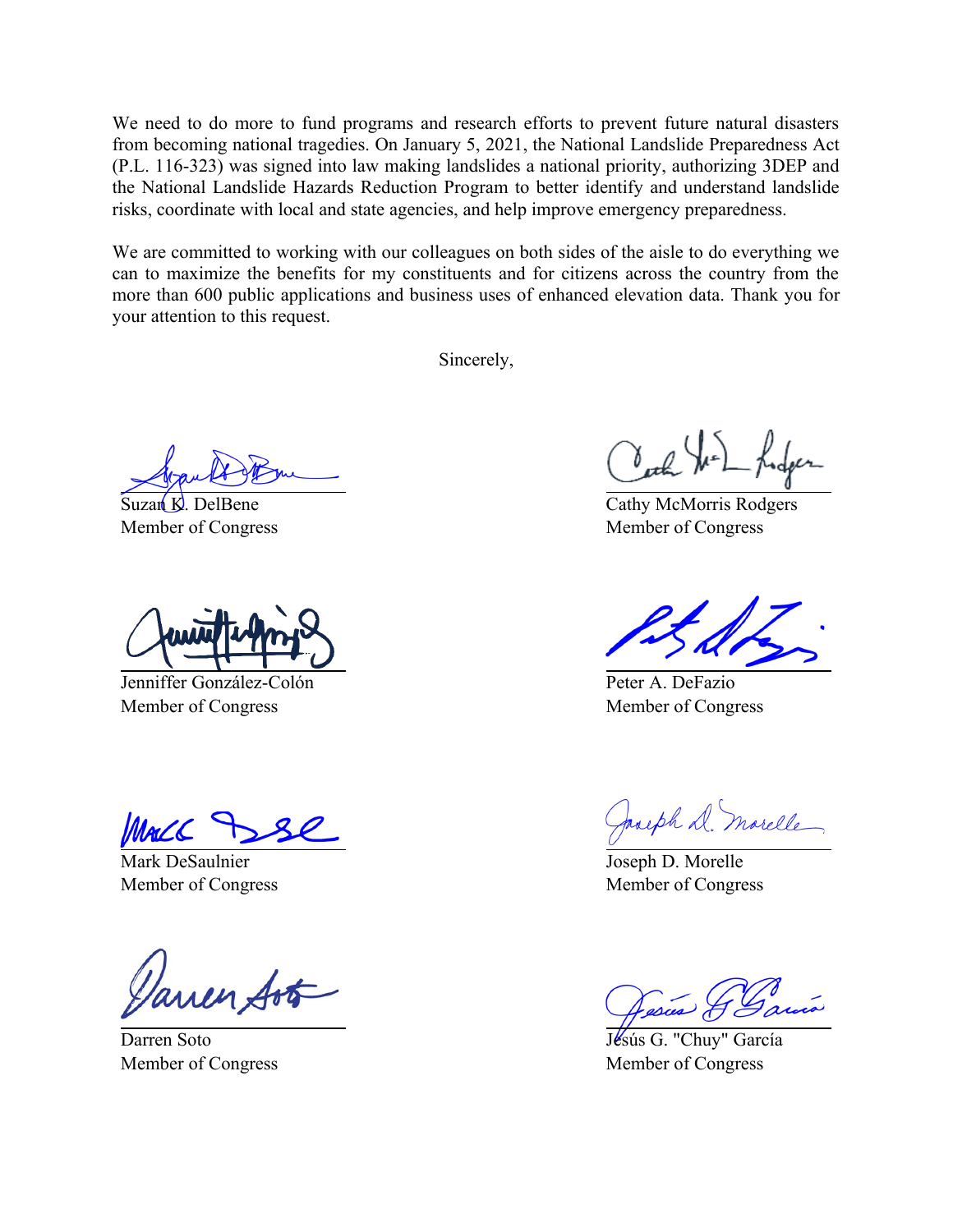We need to do more to fund programs and research efforts to prevent future natural disasters from becoming national tragedies. On January 5, 2021, the National Landslide Preparedness Act (P.L. 116-323) was signed into law making landslides a national priority, authorizing 3DEP and the National Landslide Hazards Reduction Program to better identify and understand landslide risks, coordinate with local and state agencies, and help improve emergency preparedness.

We are committed to working with our colleagues on both sides of the aisle to do everything we can to maximize the benefits for my constituents and for citizens across the country from the more than 600 public applications and business uses of enhanced elevation data. Thank you for your attention to this request.

Sincerely,

Suzan  $K$ . DelBene Member of Congress

Jenniffer González-Colón Member of Congress

Mac C

Mark DeSaulnier Member of Congress

Darren Soto Member of Congress

Cath We Ind

Cathy McMorris Rodgers Member of Congress

Peter A. DeFazio Member of Congress

Jacoph D. Marelle

Joseph D. Morelle Member of Congress

Jésús G. "Chuy" García Member of Congress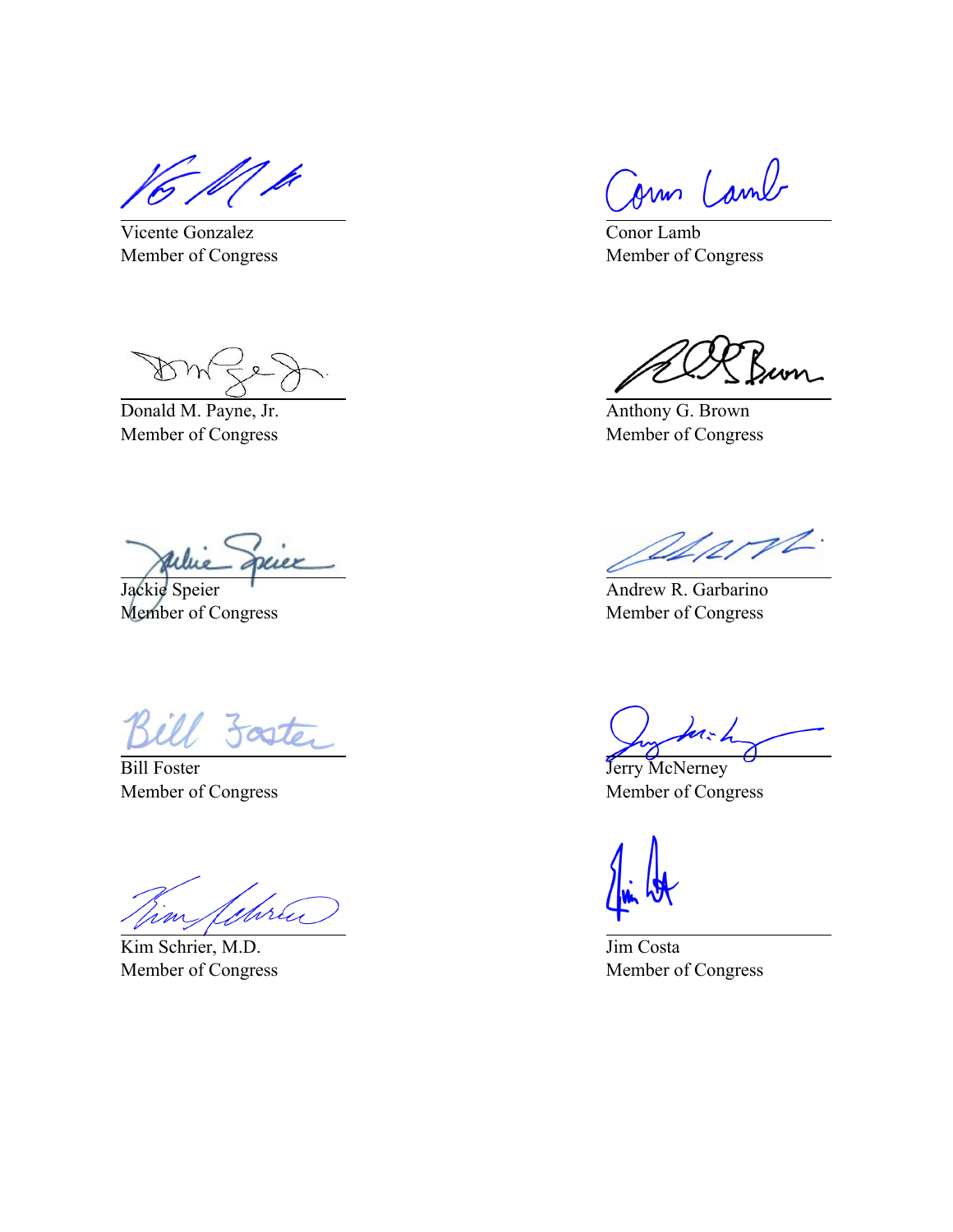- f/| p

Vicente Gonzalez Member of Congress

Donald M. Payne, Jr. Member of Congress

druer

Jackie Speier Member of Congress

Soster

Bill Foster Member of Congress

Juru

Kim Schrier, M.D. Member of Congress

Jonn Lamb

Conor Lamb Member of Congress

Anthony G. Brown Member of Congress

appropt.

Andrew R. Garbarino Member of Congress

 $1 - 4$ 

Jerry McNerney Member of Congress

Jim Costa Member of Congress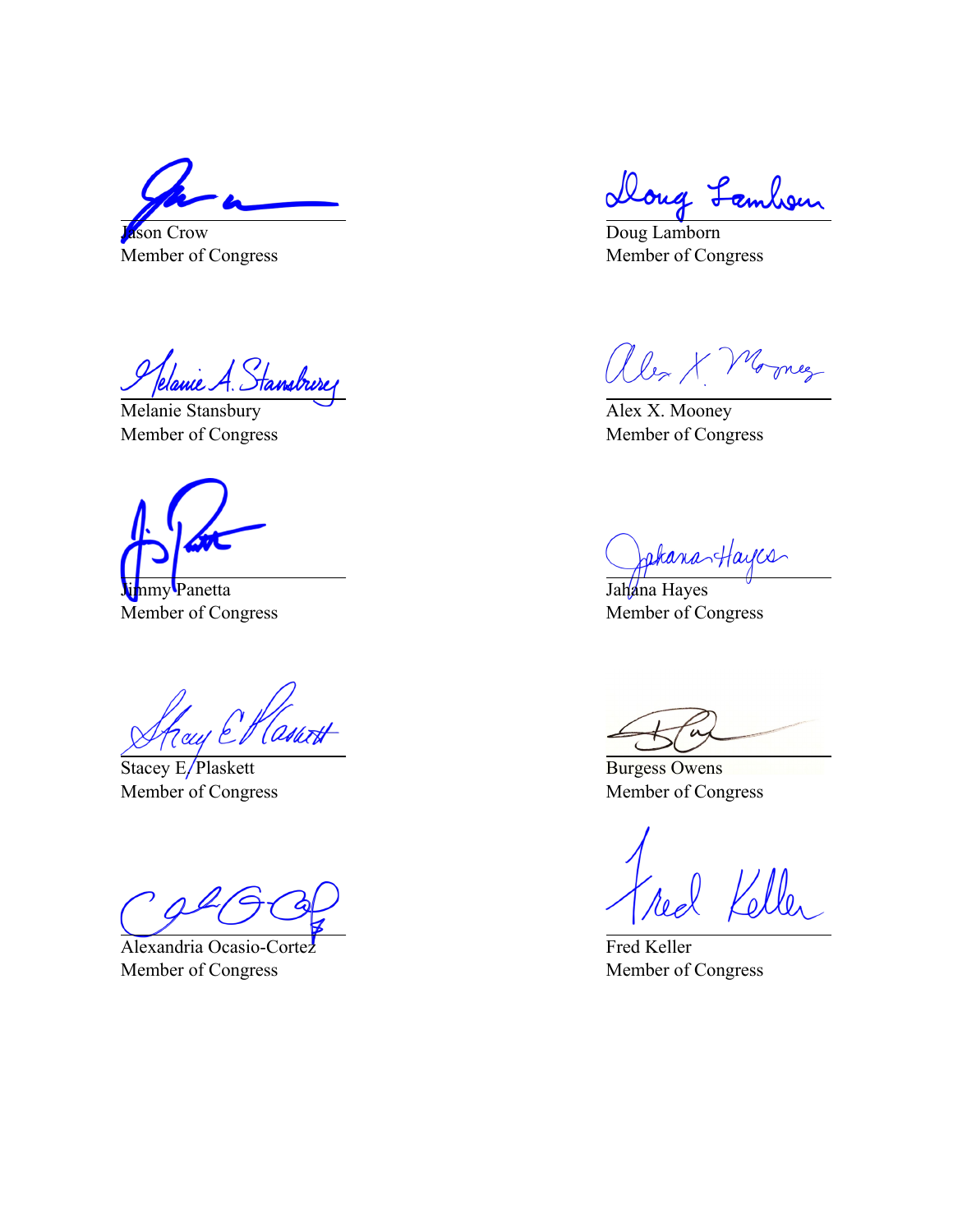Jason Crow Member of Congress

Jelanie A. Stansburg

Melanie Stansbury Member of Congress

Jimmy Panetta Member of Congress

Hay El Casart

Stacey E/Plaskett Member of Congress

Alexandria Ocasio-Cortez Member of Congress

Doug Lambour

Doug Lamborn Member of Congress

alex X Morney

Alex X. Mooney Member of Congress

Jakana Hayes

Member of Congress

Burgess Owens Member of Congress

Fred Keller Member of Congress